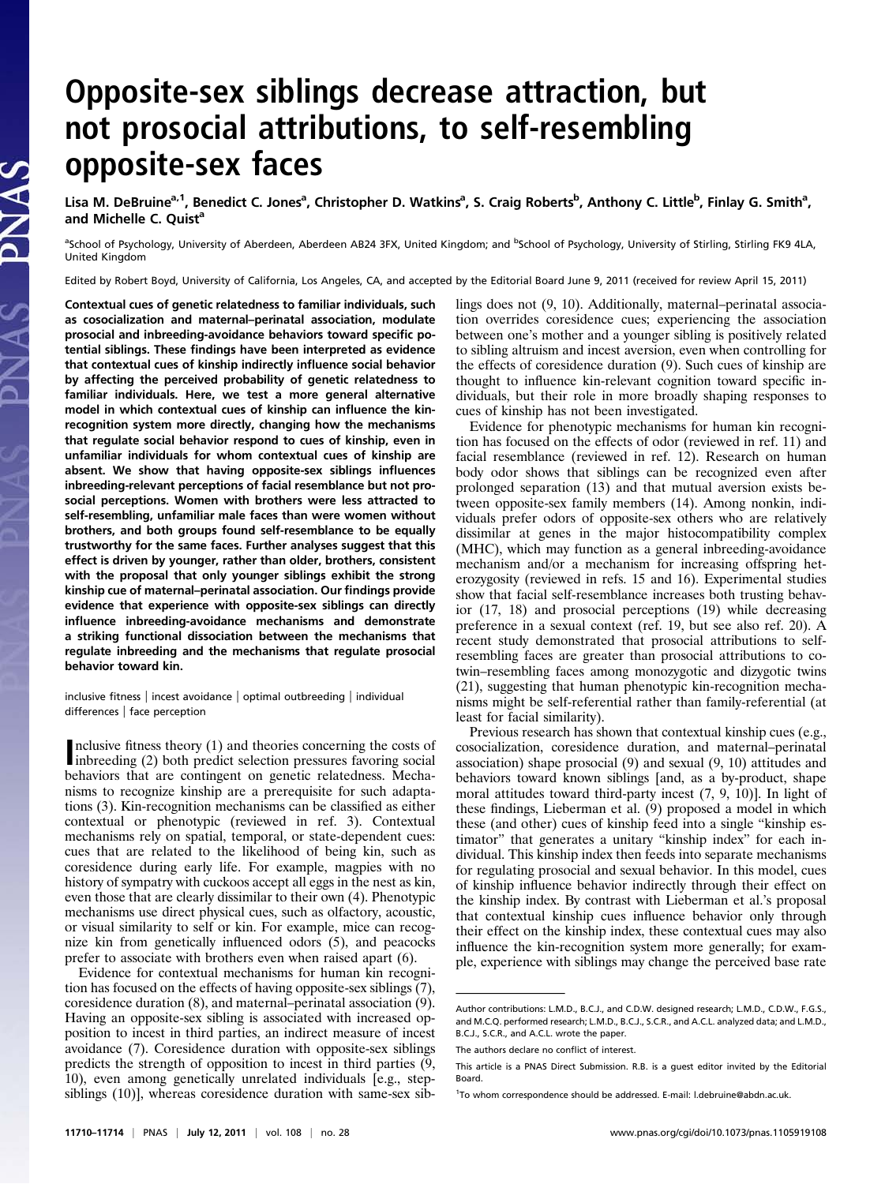## Opposite-sex siblings decrease attraction, but not prosocial attributions, to self-resembling opposite-sex faces

Lisa M. DeBruine<sup>a, 1</sup>, Benedict C. Jones<sup>a</sup>, Christopher D. Watkins<sup>a</sup>, S. Craig Roberts<sup>b</sup>, Anthony C. Little<sup>b</sup>, Finlay G. Smith<sup>a</sup>, and Michelle C. Quist<sup>a</sup>

<sup>a</sup>School of Psychology, University of Aberdeen, Aberdeen AB24 3FX, United Kingdom; and <sup>b</sup>School of Psychology, University of Stirling, Stirling FK9 4LA, United Kingdom

Edited by Robert Boyd, University of California, Los Angeles, CA, and accepted by the Editorial Board June 9, 2011 (received for review April 15, 2011)

Contextual cues of genetic relatedness to familiar individuals, such as cosocialization and maternal–perinatal association, modulate prosocial and inbreeding-avoidance behaviors toward specific potential siblings. These findings have been interpreted as evidence that contextual cues of kinship indirectly influence social behavior by affecting the perceived probability of genetic relatedness to familiar individuals. Here, we test a more general alternative model in which contextual cues of kinship can influence the kinrecognition system more directly, changing how the mechanisms that regulate social behavior respond to cues of kinship, even in unfamiliar individuals for whom contextual cues of kinship are absent. We show that having opposite-sex siblings influences inbreeding-relevant perceptions of facial resemblance but not prosocial perceptions. Women with brothers were less attracted to self-resembling, unfamiliar male faces than were women without brothers, and both groups found self-resemblance to be equally trustworthy for the same faces. Further analyses suggest that this effect is driven by younger, rather than older, brothers, consistent with the proposal that only younger siblings exhibit the strong kinship cue of maternal–perinatal association. Our findings provide evidence that experience with opposite-sex siblings can directly influence inbreeding-avoidance mechanisms and demonstrate a striking functional dissociation between the mechanisms that regulate inbreeding and the mechanisms that regulate prosocial behavior toward kin.

inclusive fitness | incest avoidance | optimal outbreeding | individual differences | face perception

Inclusive fitness theory (1) and theories concerning the costs of inbreeding (2) both predict selection pressures favoring social nclusive fitness theory (1) and theories concerning the costs of behaviors that are contingent on genetic relatedness. Mechanisms to recognize kinship are a prerequisite for such adaptations (3). Kin-recognition mechanisms can be classified as either contextual or phenotypic (reviewed in ref. 3). Contextual mechanisms rely on spatial, temporal, or state-dependent cues: cues that are related to the likelihood of being kin, such as coresidence during early life. For example, magpies with no history of sympatry with cuckoos accept all eggs in the nest as kin, even those that are clearly dissimilar to their own (4). Phenotypic mechanisms use direct physical cues, such as olfactory, acoustic, or visual similarity to self or kin. For example, mice can recognize kin from genetically influenced odors (5), and peacocks prefer to associate with brothers even when raised apart (6).

Evidence for contextual mechanisms for human kin recognition has focused on the effects of having opposite-sex siblings  $(7)$ , coresidence duration (8), and maternal–perinatal association (9). Having an opposite-sex sibling is associated with increased opposition to incest in third parties, an indirect measure of incest avoidance (7). Coresidence duration with opposite-sex siblings predicts the strength of opposition to incest in third parties (9, 10), even among genetically unrelated individuals [e.g., stepsiblings (10)], whereas coresidence duration with same-sex siblings does not (9, 10). Additionally, maternal–perinatal association overrides coresidence cues; experiencing the association between one's mother and a younger sibling is positively related to sibling altruism and incest aversion, even when controlling for the effects of coresidence duration (9). Such cues of kinship are thought to influence kin-relevant cognition toward specific individuals, but their role in more broadly shaping responses to cues of kinship has not been investigated.

Evidence for phenotypic mechanisms for human kin recognition has focused on the effects of odor (reviewed in ref. 11) and facial resemblance (reviewed in ref. 12). Research on human body odor shows that siblings can be recognized even after prolonged separation (13) and that mutual aversion exists between opposite-sex family members (14). Among nonkin, individuals prefer odors of opposite-sex others who are relatively dissimilar at genes in the major histocompatibility complex (MHC), which may function as a general inbreeding-avoidance mechanism and/or a mechanism for increasing offspring heterozygosity (reviewed in refs. 15 and 16). Experimental studies show that facial self-resemblance increases both trusting behavior (17, 18) and prosocial perceptions (19) while decreasing preference in a sexual context (ref. 19, but see also ref. 20). A recent study demonstrated that prosocial attributions to selfresembling faces are greater than prosocial attributions to cotwin–resembling faces among monozygotic and dizygotic twins (21), suggesting that human phenotypic kin-recognition mechanisms might be self-referential rather than family-referential (at least for facial similarity).

Previous research has shown that contextual kinship cues (e.g., cosocialization, coresidence duration, and maternal–perinatal association) shape prosocial (9) and sexual (9, 10) attitudes and behaviors toward known siblings [and, as a by-product, shape moral attitudes toward third-party incest (7, 9, 10)]. In light of these findings, Lieberman et al. (9) proposed a model in which these (and other) cues of kinship feed into a single "kinship estimator" that generates a unitary "kinship index" for each individual. This kinship index then feeds into separate mechanisms for regulating prosocial and sexual behavior. In this model, cues of kinship influence behavior indirectly through their effect on the kinship index. By contrast with Lieberman et al.'s proposal that contextual kinship cues influence behavior only through their effect on the kinship index, these contextual cues may also influence the kin-recognition system more generally; for example, experience with siblings may change the perceived base rate

Author contributions: L.M.D., B.C.J., and C.D.W. designed research; L.M.D., C.D.W., F.G.S., and M.C.Q. performed research; L.M.D., B.C.J., S.C.R., and A.C.L. analyzed data; and L.M.D., B.C.J., S.C.R., and A.C.L. wrote the paper.

The authors declare no conflict of interest.

This article is a PNAS Direct Submission. R.B. is a guest editor invited by the Editorial Board.

<sup>&</sup>lt;sup>1</sup>To whom correspondence should be addressed. E-mail: I.debruine@abdn.ac.uk.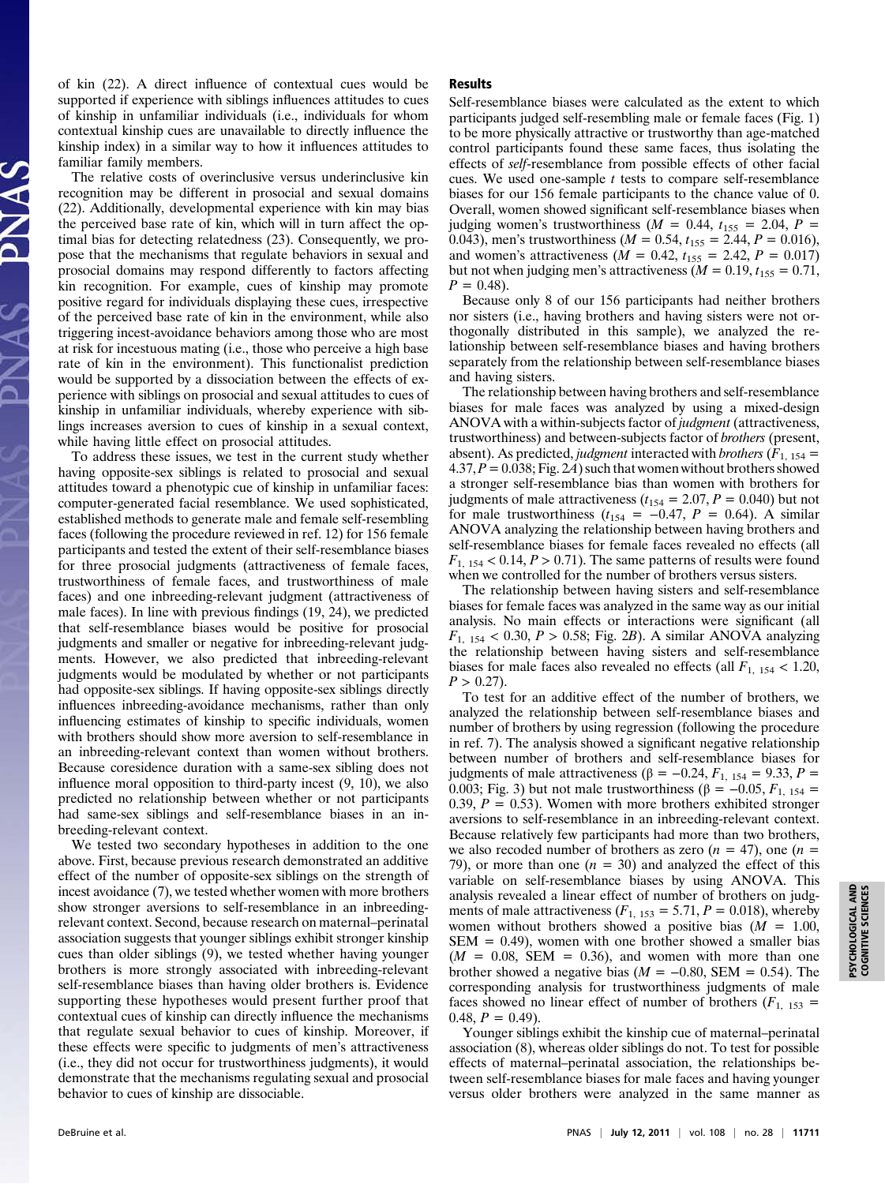of kin (22). A direct influence of contextual cues would be supported if experience with siblings influences attitudes to cues of kinship in unfamiliar individuals (i.e., individuals for whom contextual kinship cues are unavailable to directly influence the kinship index) in a similar way to how it influences attitudes to familiar family members.

The relative costs of overinclusive versus underinclusive kin recognition may be different in prosocial and sexual domains (22). Additionally, developmental experience with kin may bias the perceived base rate of kin, which will in turn affect the optimal bias for detecting relatedness (23). Consequently, we propose that the mechanisms that regulate behaviors in sexual and prosocial domains may respond differently to factors affecting kin recognition. For example, cues of kinship may promote positive regard for individuals displaying these cues, irrespective of the perceived base rate of kin in the environment, while also triggering incest-avoidance behaviors among those who are most at risk for incestuous mating (i.e., those who perceive a high base rate of kin in the environment). This functionalist prediction would be supported by a dissociation between the effects of experience with siblings on prosocial and sexual attitudes to cues of kinship in unfamiliar individuals, whereby experience with siblings increases aversion to cues of kinship in a sexual context, while having little effect on prosocial attitudes.

To address these issues, we test in the current study whether having opposite-sex siblings is related to prosocial and sexual attitudes toward a phenotypic cue of kinship in unfamiliar faces: computer-generated facial resemblance. We used sophisticated, established methods to generate male and female self-resembling faces (following the procedure reviewed in ref. 12) for 156 female participants and tested the extent of their self-resemblance biases for three prosocial judgments (attractiveness of female faces, trustworthiness of female faces, and trustworthiness of male faces) and one inbreeding-relevant judgment (attractiveness of male faces). In line with previous findings (19, 24), we predicted that self-resemblance biases would be positive for prosocial judgments and smaller or negative for inbreeding-relevant judgments. However, we also predicted that inbreeding-relevant judgments would be modulated by whether or not participants had opposite-sex siblings. If having opposite-sex siblings directly influences inbreeding-avoidance mechanisms, rather than only influencing estimates of kinship to specific individuals, women with brothers should show more aversion to self-resemblance in an inbreeding-relevant context than women without brothers. Because coresidence duration with a same-sex sibling does not influence moral opposition to third-party incest (9, 10), we also predicted no relationship between whether or not participants had same-sex siblings and self-resemblance biases in an inbreeding-relevant context.

We tested two secondary hypotheses in addition to the one above. First, because previous research demonstrated an additive effect of the number of opposite-sex siblings on the strength of incest avoidance (7), we tested whether women with more brothers show stronger aversions to self-resemblance in an inbreedingrelevant context. Second, because research on maternal–perinatal association suggests that younger siblings exhibit stronger kinship cues than older siblings (9), we tested whether having younger brothers is more strongly associated with inbreeding-relevant self-resemblance biases than having older brothers is. Evidence supporting these hypotheses would present further proof that contextual cues of kinship can directly influence the mechanisms that regulate sexual behavior to cues of kinship. Moreover, if these effects were specific to judgments of men's attractiveness (i.e., they did not occur for trustworthiness judgments), it would demonstrate that the mechanisms regulating sexual and prosocial behavior to cues of kinship are dissociable.

## Results

Self-resemblance biases were calculated as the extent to which participants judged self-resembling male or female faces (Fig. 1) to be more physically attractive or trustworthy than age-matched control participants found these same faces, thus isolating the effects of self-resemblance from possible effects of other facial cues. We used one-sample  $t$  tests to compare self-resemblance biases for our 156 female participants to the chance value of 0. Overall, women showed significant self-resemblance biases when judging women's trustworthiness ( $M = 0.44$ ,  $t_{155} = 2.04$ ,  $P =$ 0.043), men's trustworthiness ( $M = 0.54$ ,  $t_{155} = 2.44$ ,  $P = 0.016$ ), and women's attractiveness ( $M = 0.42$ ,  $t_{155} = 2.42$ ,  $P = 0.017$ ) but not when judging men's attractiveness ( $M = 0.19$ ,  $t_{155} = 0.71$ ,  $P = 0.48$ ).

Because only 8 of our 156 participants had neither brothers nor sisters (i.e., having brothers and having sisters were not orthogonally distributed in this sample), we analyzed the relationship between self-resemblance biases and having brothers separately from the relationship between self-resemblance biases and having sisters.

The relationship between having brothers and self-resemblance biases for male faces was analyzed by using a mixed-design ANOVA with a within-subjects factor of judgment (attractiveness, trustworthiness) and between-subjects factor of brothers (present, absent). As predicted, judgment interacted with brothers ( $F_{1, 154}$  =  $4.37, P = 0.038$ ; Fig. 2A) such that women without brothers showed a stronger self-resemblance bias than women with brothers for judgments of male attractiveness ( $t_{154} = 2.07$ ,  $P = 0.040$ ) but not for male trustworthiness ( $t_{154} = -0.47$ ,  $P = 0.64$ ). A similar ANOVA analyzing the relationship between having brothers and self-resemblance biases for female faces revealed no effects (all  $F_{1, 154}$  < 0.14,  $P > 0.71$ ). The same patterns of results were found when we controlled for the number of brothers versus sisters.

The relationship between having sisters and self-resemblance biases for female faces was analyzed in the same way as our initial analysis. No main effects or interactions were significant (all  $F_{1, 154}$  < 0.30,  $P > 0.58$ ; Fig. 2B). A similar ANOVA analyzing the relationship between having sisters and self-resemblance biases for male faces also revealed no effects (all  $F_{1, 154}$  < 1.20,  $P > 0.27$ ).

To test for an additive effect of the number of brothers, we analyzed the relationship between self-resemblance biases and number of brothers by using regression (following the procedure in ref. 7). The analysis showed a significant negative relationship between number of brothers and self-resemblance biases for judgments of male attractiveness (β = -0.24,  $F_{1, 154}$  = 9.33, P = 0.003; Fig. 3) but not male trustworthiness (β =  $-0.05$ ,  $F_{1, 154}$  = 0.39,  $P = 0.53$ ). Women with more brothers exhibited stronger aversions to self-resemblance in an inbreeding-relevant context. Because relatively few participants had more than two brothers, we also recoded number of brothers as zero  $(n = 47)$ , one  $(n = 17)$ 79), or more than one  $(n = 30)$  and analyzed the effect of this variable on self-resemblance biases by using ANOVA. This analysis revealed a linear effect of number of brothers on judgments of male attractiveness  $(F_{1, 153} = 5.71, P = 0.018)$ , whereby women without brothers showed a positive bias  $(M = 1.00,$  $SEM = 0.49$ , women with one brother showed a smaller bias  $(M = 0.08, SEM = 0.36)$ , and women with more than one brother showed a negative bias ( $M = -0.80$ , SEM = 0.54). The corresponding analysis for trustworthiness judgments of male faces showed no linear effect of number of brothers ( $F_{1, 153}$  =  $0.48, P = 0.49$ .

Younger siblings exhibit the kinship cue of maternal–perinatal association (8), whereas older siblings do not. To test for possible effects of maternal–perinatal association, the relationships between self-resemblance biases for male faces and having younger versus older brothers were analyzed in the same manner as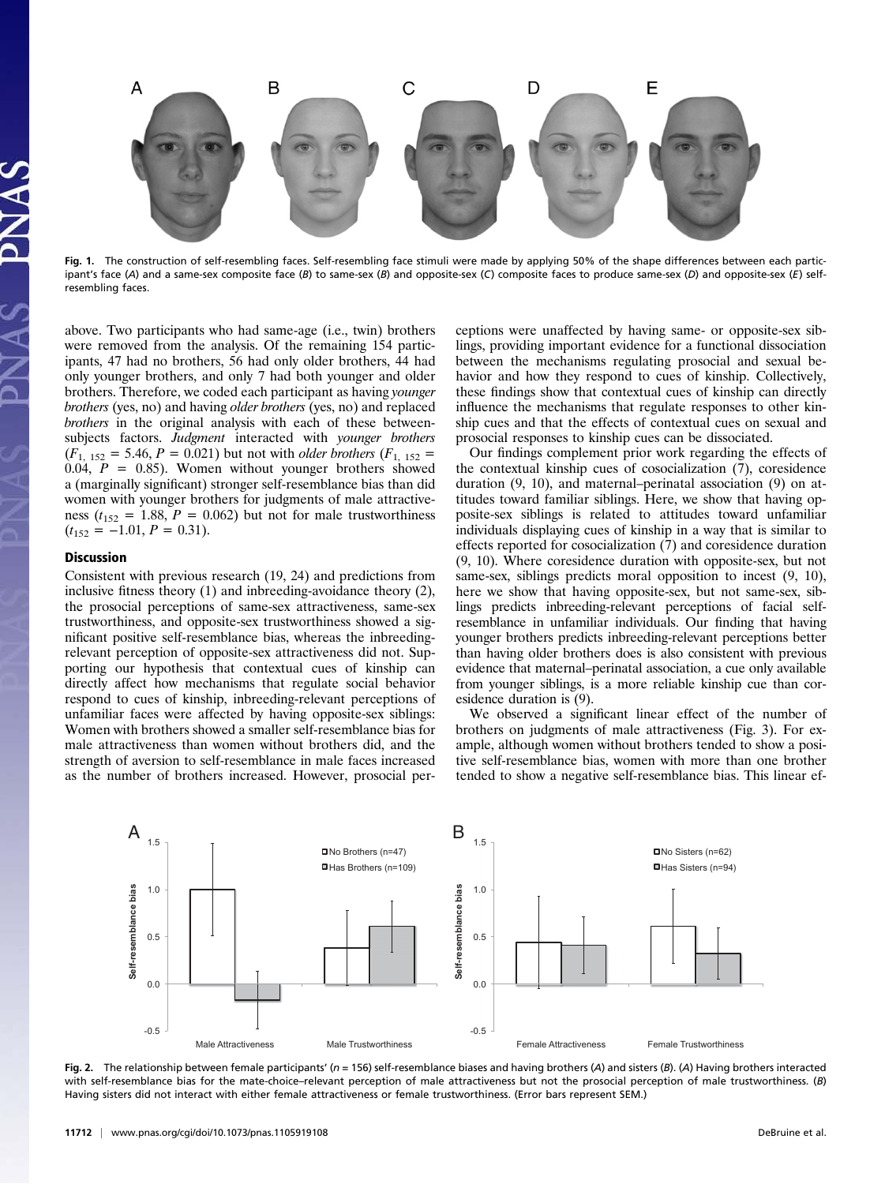

Fig. 1. The construction of self-resembling faces. Self-resembling face stimuli were made by applying 50% of the shape differences between each participant's face (A) and a same-sex composite face (B) to same-sex (B) and opposite-sex (C) composite faces to produce same-sex (D) and opposite-sex (E) selfresembling faces.

above. Two participants who had same-age (i.e., twin) brothers were removed from the analysis. Of the remaining 154 participants, 47 had no brothers, 56 had only older brothers, 44 had only younger brothers, and only 7 had both younger and older brothers. Therefore, we coded each participant as having younger brothers (yes, no) and having older brothers (yes, no) and replaced brothers in the original analysis with each of these betweensubjects factors. Judgment interacted with younger brothers  $(F_{1, 152} = 5.46, P = 0.021)$  but not with *older brothers*  $(F_{1, 152} =$ 0.04,  $P = 0.85$ ). Women without younger brothers showed a (marginally significant) stronger self-resemblance bias than did women with younger brothers for judgments of male attractiveness ( $t_{152} = 1.88$ ,  $P = 0.062$ ) but not for male trustworthiness  $(t_{152} = -1.01, P = 0.31).$ 

## **Discussion**

Consistent with previous research (19, 24) and predictions from inclusive fitness theory (1) and inbreeding-avoidance theory (2), the prosocial perceptions of same-sex attractiveness, same-sex trustworthiness, and opposite-sex trustworthiness showed a significant positive self-resemblance bias, whereas the inbreedingrelevant perception of opposite-sex attractiveness did not. Supporting our hypothesis that contextual cues of kinship can directly affect how mechanisms that regulate social behavior respond to cues of kinship, inbreeding-relevant perceptions of unfamiliar faces were affected by having opposite-sex siblings: Women with brothers showed a smaller self-resemblance bias for male attractiveness than women without brothers did, and the strength of aversion to self-resemblance in male faces increased as the number of brothers increased. However, prosocial per-

ceptions were unaffected by having same- or opposite-sex siblings, providing important evidence for a functional dissociation between the mechanisms regulating prosocial and sexual behavior and how they respond to cues of kinship. Collectively, these findings show that contextual cues of kinship can directly influence the mechanisms that regulate responses to other kinship cues and that the effects of contextual cues on sexual and prosocial responses to kinship cues can be dissociated.

Our findings complement prior work regarding the effects of the contextual kinship cues of cosocialization (7), coresidence duration (9, 10), and maternal–perinatal association (9) on attitudes toward familiar siblings. Here, we show that having opposite-sex siblings is related to attitudes toward unfamiliar individuals displaying cues of kinship in a way that is similar to effects reported for cosocialization (7) and coresidence duration (9, 10). Where coresidence duration with opposite-sex, but not same-sex, siblings predicts moral opposition to incest (9, 10), here we show that having opposite-sex, but not same-sex, siblings predicts inbreeding-relevant perceptions of facial selfresemblance in unfamiliar individuals. Our finding that having younger brothers predicts inbreeding-relevant perceptions better than having older brothers does is also consistent with previous evidence that maternal–perinatal association, a cue only available from younger siblings, is a more reliable kinship cue than coresidence duration is (9).

We observed a significant linear effect of the number of brothers on judgments of male attractiveness (Fig. 3). For example, although women without brothers tended to show a positive self-resemblance bias, women with more than one brother tended to show a negative self-resemblance bias. This linear ef-



Fig. 2. The relationship between female participants' ( $n = 156$ ) self-resemblance biases and having brothers (A) and sisters (B). (A) Having brothers interacted with self-resemblance bias for the mate-choice-relevant perception of male attractiveness but not the prosocial perception of male trustworthiness. (B) Having sisters did not interact with either female attractiveness or female trustworthiness. (Error bars represent SEM.)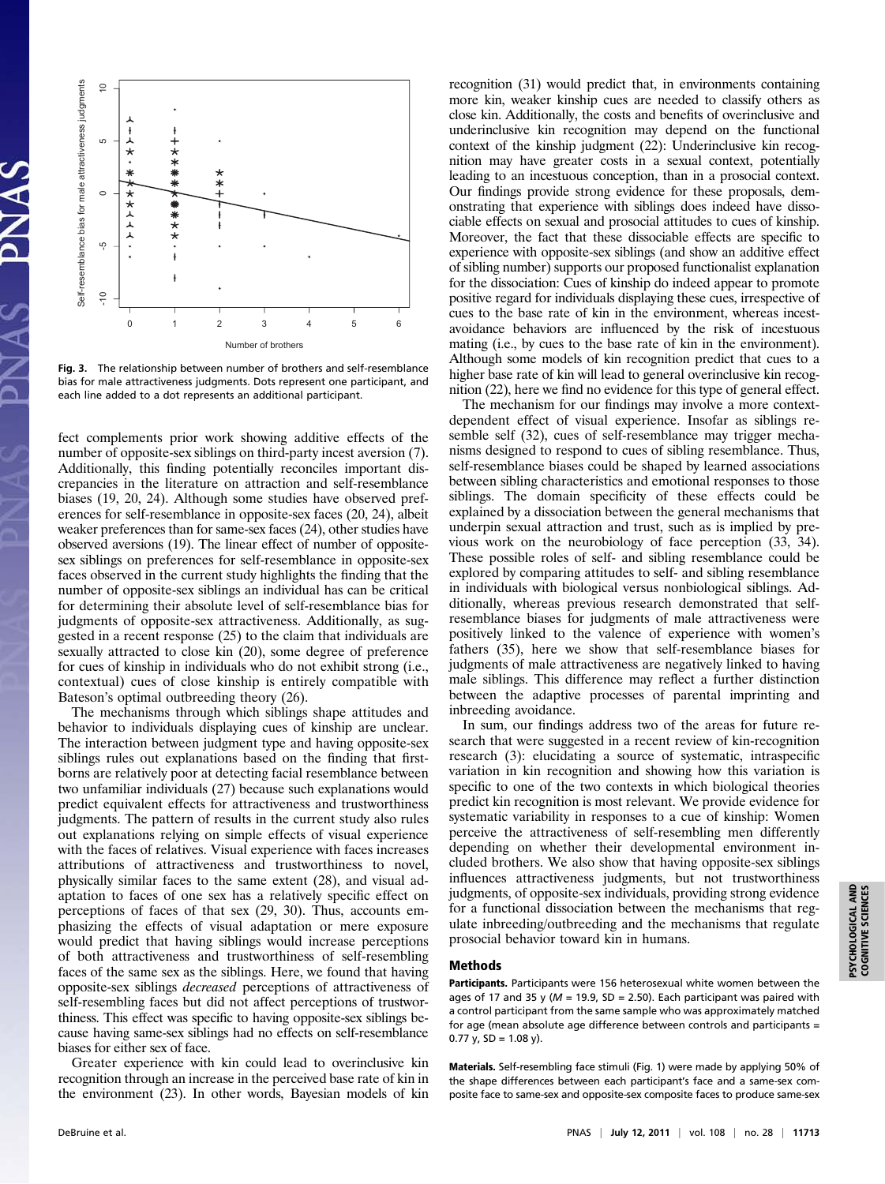

Fig. 3. The relationship between number of brothers and self-resemblance bias for male attractiveness judgments. Dots represent one participant, and each line added to a dot represents an additional participant.

fect complements prior work showing additive effects of the number of opposite-sex siblings on third-party incest aversion (7). Additionally, this finding potentially reconciles important discrepancies in the literature on attraction and self-resemblance biases (19, 20, 24). Although some studies have observed preferences for self-resemblance in opposite-sex faces (20, 24), albeit weaker preferences than for same-sex faces (24), other studies have observed aversions (19). The linear effect of number of oppositesex siblings on preferences for self-resemblance in opposite-sex faces observed in the current study highlights the finding that the number of opposite-sex siblings an individual has can be critical for determining their absolute level of self-resemblance bias for judgments of opposite-sex attractiveness. Additionally, as suggested in a recent response (25) to the claim that individuals are sexually attracted to close kin (20), some degree of preference for cues of kinship in individuals who do not exhibit strong (i.e., contextual) cues of close kinship is entirely compatible with Bateson's optimal outbreeding theory (26).

The mechanisms through which siblings shape attitudes and behavior to individuals displaying cues of kinship are unclear. The interaction between judgment type and having opposite-sex siblings rules out explanations based on the finding that firstborns are relatively poor at detecting facial resemblance between two unfamiliar individuals (27) because such explanations would predict equivalent effects for attractiveness and trustworthiness judgments. The pattern of results in the current study also rules out explanations relying on simple effects of visual experience with the faces of relatives. Visual experience with faces increases attributions of attractiveness and trustworthiness to novel, physically similar faces to the same extent (28), and visual adaptation to faces of one sex has a relatively specific effect on perceptions of faces of that sex (29, 30). Thus, accounts emphasizing the effects of visual adaptation or mere exposure would predict that having siblings would increase perceptions of both attractiveness and trustworthiness of self-resembling faces of the same sex as the siblings. Here, we found that having opposite-sex siblings decreased perceptions of attractiveness of self-resembling faces but did not affect perceptions of trustworthiness. This effect was specific to having opposite-sex siblings because having same-sex siblings had no effects on self-resemblance biases for either sex of face.

Greater experience with kin could lead to overinclusive kin recognition through an increase in the perceived base rate of kin in the environment (23). In other words, Bayesian models of kin recognition (31) would predict that, in environments containing more kin, weaker kinship cues are needed to classify others as close kin. Additionally, the costs and benefits of overinclusive and underinclusive kin recognition may depend on the functional context of the kinship judgment (22): Underinclusive kin recognition may have greater costs in a sexual context, potentially leading to an incestuous conception, than in a prosocial context. Our findings provide strong evidence for these proposals, demonstrating that experience with siblings does indeed have dissociable effects on sexual and prosocial attitudes to cues of kinship. Moreover, the fact that these dissociable effects are specific to experience with opposite-sex siblings (and show an additive effect of sibling number) supports our proposed functionalist explanation for the dissociation: Cues of kinship do indeed appear to promote positive regard for individuals displaying these cues, irrespective of cues to the base rate of kin in the environment, whereas incestavoidance behaviors are influenced by the risk of incestuous mating (i.e., by cues to the base rate of kin in the environment). Although some models of kin recognition predict that cues to a higher base rate of kin will lead to general overinclusive kin recognition (22), here we find no evidence for this type of general effect.

The mechanism for our findings may involve a more contextdependent effect of visual experience. Insofar as siblings resemble self (32), cues of self-resemblance may trigger mechanisms designed to respond to cues of sibling resemblance. Thus, self-resemblance biases could be shaped by learned associations between sibling characteristics and emotional responses to those siblings. The domain specificity of these effects could be explained by a dissociation between the general mechanisms that underpin sexual attraction and trust, such as is implied by previous work on the neurobiology of face perception (33, 34). These possible roles of self- and sibling resemblance could be explored by comparing attitudes to self- and sibling resemblance in individuals with biological versus nonbiological siblings. Additionally, whereas previous research demonstrated that selfresemblance biases for judgments of male attractiveness were positively linked to the valence of experience with women's fathers (35), here we show that self-resemblance biases for judgments of male attractiveness are negatively linked to having male siblings. This difference may reflect a further distinction between the adaptive processes of parental imprinting and inbreeding avoidance.

In sum, our findings address two of the areas for future research that were suggested in a recent review of kin-recognition research (3): elucidating a source of systematic, intraspecific variation in kin recognition and showing how this variation is specific to one of the two contexts in which biological theories predict kin recognition is most relevant. We provide evidence for systematic variability in responses to a cue of kinship: Women perceive the attractiveness of self-resembling men differently depending on whether their developmental environment included brothers. We also show that having opposite-sex siblings influences attractiveness judgments, but not trustworthiness judgments, of opposite-sex individuals, providing strong evidence for a functional dissociation between the mechanisms that regulate inbreeding/outbreeding and the mechanisms that regulate prosocial behavior toward kin in humans.

## Methods

Participants. Participants were 156 heterosexual white women between the ages of 17 and 35 y ( $M = 19.9$ , SD = 2.50). Each participant was paired with a control participant from the same sample who was approximately matched for age (mean absolute age difference between controls and participants = 0.77 y,  $SD = 1.08$  y).

Materials. Self-resembling face stimuli (Fig. 1) were made by applying 50% of the shape differences between each participant's face and a same-sex composite face to same-sex and opposite-sex composite faces to produce same-sex